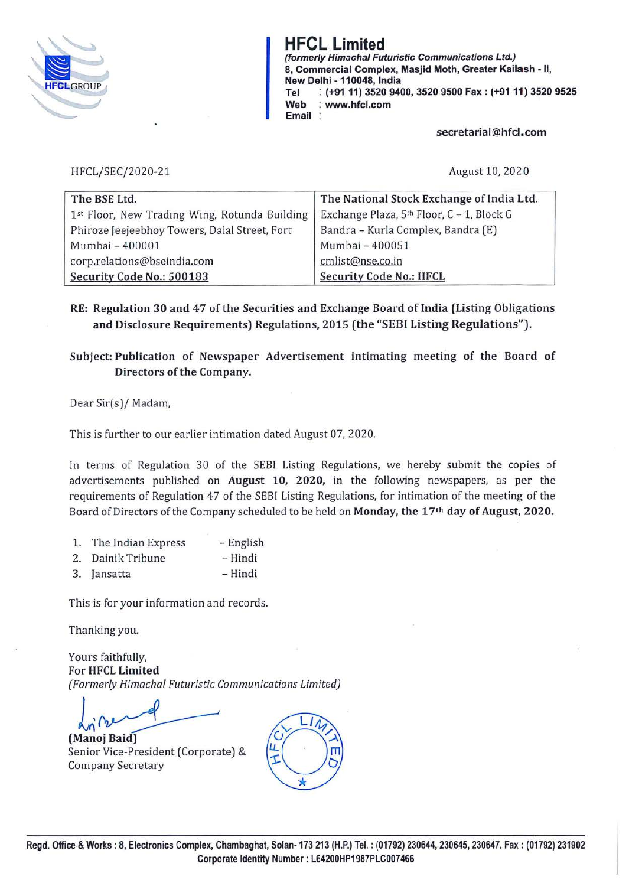

**HFCL Limited {formerly Himacha/ Futuristic Communications Ltd.) 8, Commercial Complex, Masjid Moth, Greater Kailash** • II, **New Delhi** · **110048, India Tel** : **(+91 11) 3520 9400, 3520 9500 Fax: (+91 11) 3520 9525 Web** : **www.hfcl.com Email** :

**secretarial@hfcl.com** 

HFCL/SEC/2020-21

August 10, 202 0

| The BSE Ltd.                                  | The National Stock Exchange of India Ltd. |
|-----------------------------------------------|-------------------------------------------|
| 1st Floor, New Trading Wing, Rotunda Building | Exchange Plaza, 5th Floor, C - 1, Block G |
| Phiroze Jeejeebhoy Towers, Dalal Street, Fort | Bandra - Kurla Complex, Bandra (E)        |
| Mumbai - 400001                               | Mumbai - 400051                           |
| corp.relations@bseindia.com                   | cmlist@nse.co.in                          |
| Security Code No.: 500183                     | <b>Security Code No.: HFCL</b>            |

RE: Regulation 30 and 47 of the Securities and Exchange Board of India (Listing Obligations **and Disclosure Requirements) Regulations, 2015 (the "SEBI Listing Regulations").** 

#### **Subject: Publication of Newspaper Advertisement intimating meeting of the Board of Directors of the Company.**

Dear Sir(s)/ Madam,

This is further to our earlier intimation dated August 07, 2020.

In terms of Regulation 30 of the SEBI Listing Regulations, we hereby submit the copies of advertisements published on **August 10, 2020,** in the following newspapers, as per the requirements of Regulation 47 of the SEBI Listing Regulations, for intimation of the meeting of the Board of Directors of the Company scheduled to be held on **Monday, the 17th day of August, 2020.** 

| 1. | The Indian Express | – English |
|----|--------------------|-----------|
|    | 2. Dainik Tribune  | - Hindi   |
|    | 3. Jansatta        | - Hindi   |

This is for your information and records.

Thanking you.

Yours faithfully, For **HFCL Limited**  *(Formerly Himachal Futuristic Communications Limited)* 

 $L_{\gamma}$  recond **(Manoj Baid)** 

Senior Vice-President (Corporate) & Company Secretary

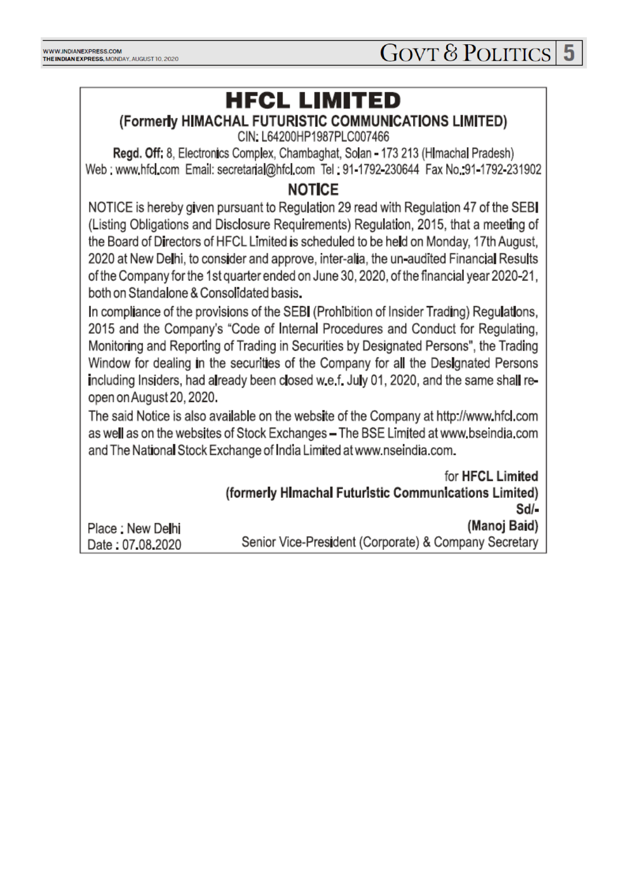# **HFCL LIMITED**

### (Formerly HIMACHAL FUTURISTIC COMMUNICATIONS LIMITED)

CIN: L64200HP1987PLC007466

Regd. Off: 8, Electronics Complex, Chambaghat, Solan - 173 213 (Himachal Pradesh) Web: www.hfcl.com Email: secretarial@hfcl.com Tel: 91-1792-230644 Fax No. 91-1792-231902

### **NOTICE**

NOTICE is hereby given pursuant to Regulation 29 read with Regulation 47 of the SEB (Listing Obligations and Disclosure Requirements) Regulation, 2015, that a meeting of the Board of Directors of HFCL Limited is scheduled to be held on Monday, 17th August, 2020 at New Delhi, to consider and approve, inter-alia, the un-audited Financial Results of the Company for the 1st quarter ended on June 30, 2020, of the financial year 2020-21, both on Standalone & Consolidated basis.

In compliance of the provisions of the SEBI (Prohibition of Insider Trading) Regulations, 2015 and the Company's "Code of Internal Procedures and Conduct for Regulating. Monitoring and Reporting of Trading in Securities by Designated Persons", the Trading Window for dealing in the securities of the Company for all the Designated Persons including Insiders, had already been closed w.e.f. July 01, 2020, and the same shall reopen on August 20, 2020.

The said Notice is also available on the website of the Company at http://www.hfcl.com as well as on the websites of Stock Exchanges - The BSE Limited at www.bseindia.com and The National Stock Exchange of India Limited at www.nseindia.com.

|                   | for HFCL Limited                                      |
|-------------------|-------------------------------------------------------|
|                   | (formerly Himachal Futuristic Communications Limited) |
|                   | $Sd$ -                                                |
| Place : New Delhi | (Manoj Baid)                                          |
| Date: 07.08.2020  | Senior Vice-President (Corporate) & Company Secretary |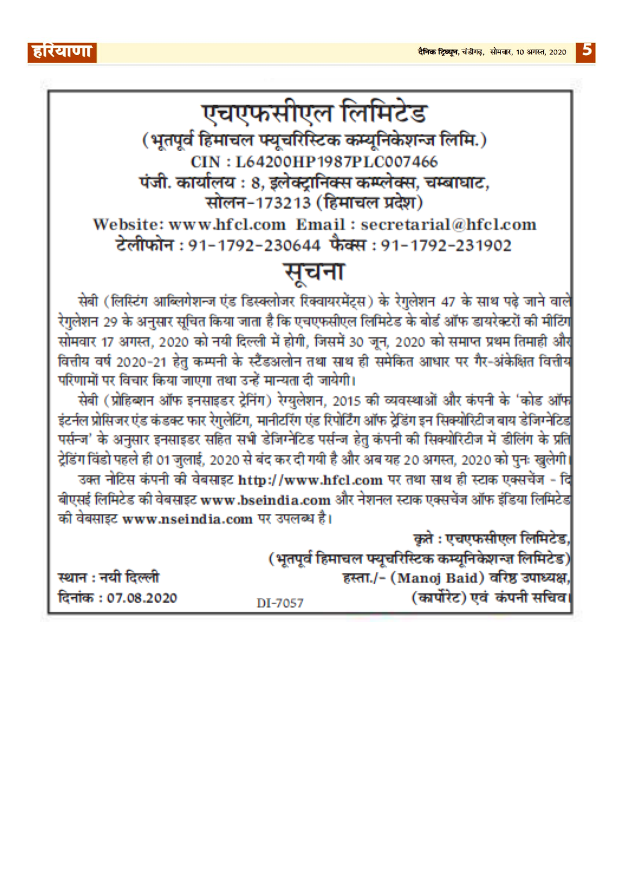$\vert 5 \vert$ 

| एचएफसीएल लिमिटेड                                                                                                |                            |                                                                                                 |  |  |  |
|-----------------------------------------------------------------------------------------------------------------|----------------------------|-------------------------------------------------------------------------------------------------|--|--|--|
| (भूतपूर्व हिमाचल फ्यूचरिस्टिक कम्यूनिकेशन्ज लिमि.)                                                              |                            |                                                                                                 |  |  |  |
|                                                                                                                 | CIN: L64200HP1987PLC007466 |                                                                                                 |  |  |  |
| पंजी. कार्यालय : 8, इलेक्ट्रानिक्स कम्प्लेक्स, चम्बाघाट,                                                        |                            |                                                                                                 |  |  |  |
| सोलन-173213 (हिमाचल प्रदेश)                                                                                     |                            |                                                                                                 |  |  |  |
| Website: www.hfcl.com Email: secretarial@hfcl.com                                                               |                            |                                                                                                 |  |  |  |
| टेलीफोन : 91-1792-230644 फैक्स : 91-1792-231902                                                                 |                            |                                                                                                 |  |  |  |
| सूचना                                                                                                           |                            |                                                                                                 |  |  |  |
|                                                                                                                 |                            | सेबी (लिस्टिंग आब्लिगेशन्ज एंड डिस्क्लोजर रिक्वायरमेंट्स) के रेगुलेशन 47 के साथ पढ़े जाने वालें |  |  |  |
| रेगुलेशन 29 के अनुसार सूचित किया जाता है कि एचएफसीएल लिमिटेड के बोर्ड ऑफ डायरेक्टरों की मीटिंग                  |                            |                                                                                                 |  |  |  |
| सोमवार 17 अगस्त, 2020 को नयी दिल्ली में होगी, जिसमें 30 जून, 2020 को समाप्त प्रथम तिमाही और                     |                            |                                                                                                 |  |  |  |
| वित्तीय वर्ष 2020-21 हेतु कम्पनी के स्टैंडअलोन तथा साथ ही समेकित आधार पर गैर-अंकेक्षित वित्तीय                  |                            |                                                                                                 |  |  |  |
| परिणामों पर विचार किया जाएगा तथा उन्हें मान्यता दी जायेगी।                                                      |                            |                                                                                                 |  |  |  |
| सेबी (प्रोहिब्शन ऑफ इनसाइडर ट्रेनिंग) रेग्युलेशन, 2015 की व्यवस्थाओं और कंपनी के 'कोड ऑफ                        |                            |                                                                                                 |  |  |  |
| इंटर्नल प्रोसिजर एंड कंडक्ट फार रेगुलेटिंग, मानीटरिंग एंड रिपोर्टिंग ऑफ ट्रेडिंग इन सिक्योरिटीज बाय डेजिग्नेटिड |                            |                                                                                                 |  |  |  |
| पर्सन्ज' के अनुसार इनसाइडर सहित सभी डेजिग्नेटिड पर्सन्ज हेतु कंपनी की सिक्योरिटीज में डीलिंग के प्रति           |                            |                                                                                                 |  |  |  |
| ट्रेडिंग विंडो पहले ही 01 जुलाई, 2020 से बंद कर दी गयी है और अब यह 20 अगस्त, 2020 को पुनः खुलेगी।               |                            |                                                                                                 |  |  |  |
| उक्त नोटिस कंपनी की वेबसाइट http://www.hfcl.com पर तथा साथ ही स्टाक एक्सचेंज - दि                               |                            |                                                                                                 |  |  |  |
| बीएसई लिमिटेड की वेबसाइट www.bseindia.com और नेशनल स्टाक एक्सचेंज ऑफ इंडिया लिमिटेड                             |                            |                                                                                                 |  |  |  |
| की वेबसाइट www.nseindia.com पर उपलब्ध है।                                                                       |                            |                                                                                                 |  |  |  |
|                                                                                                                 |                            | कृते : एचएफसीएल लिमिटेड,                                                                        |  |  |  |
|                                                                                                                 |                            | (भूतपूर्व हिमाचल फ्यूचरिस्टिक कम्यूनिकेशन्ज़ लिमिटेड)                                           |  |  |  |
| स्थान : नयी दिल्ली                                                                                              |                            | हस्ता./- (Manoj Baid) वरिष्ठ उपाध्यक्ष,                                                         |  |  |  |
| दिनांक : 07.08.2020                                                                                             | DI-7057                    | (कार्पोरेट) एवं कंपनी सचिव।                                                                     |  |  |  |